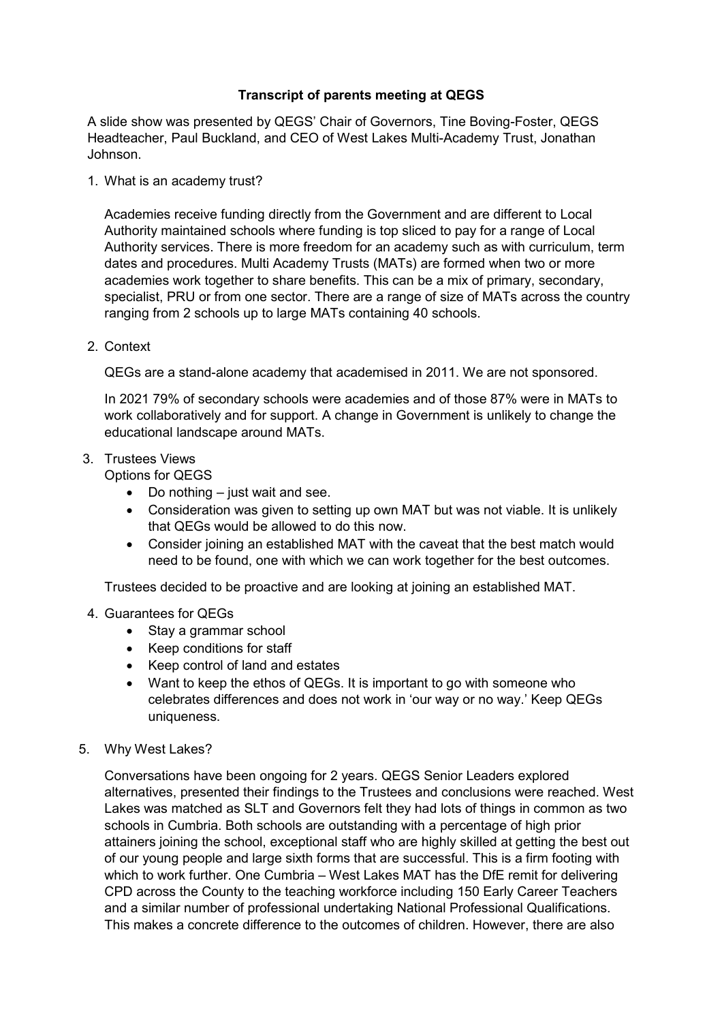## **Transcript of parents meeting at QEGS**

A slide show was presented by QEGS' Chair of Governors, Tine Boving-Foster, QEGS Headteacher, Paul Buckland, and CEO of West Lakes Multi-Academy Trust, Jonathan Johnson.

1. What is an academy trust?

Academies receive funding directly from the Government and are different to Local Authority maintained schools where funding is top sliced to pay for a range of Local Authority services. There is more freedom for an academy such as with curriculum, term dates and procedures. Multi Academy Trusts (MATs) are formed when two or more academies work together to share benefits. This can be a mix of primary, secondary, specialist, PRU or from one sector. There are a range of size of MATs across the country ranging from 2 schools up to large MATs containing 40 schools.

2. Context

QEGs are a stand-alone academy that academised in 2011. We are not sponsored.

In 2021 79% of secondary schools were academies and of those 87% were in MATs to work collaboratively and for support. A change in Government is unlikely to change the educational landscape around MATs.

## 3. Trustees Views

Options for QEGS

- $\bullet$  Do nothing just wait and see.
- Consideration was given to setting up own MAT but was not viable. It is unlikely that QEGs would be allowed to do this now.
- Consider joining an established MAT with the caveat that the best match would need to be found, one with which we can work together for the best outcomes.

Trustees decided to be proactive and are looking at joining an established MAT.

## 4. Guarantees for QEGs

- Stay a grammar school
- Keep conditions for staff
- Keep control of land and estates
- Want to keep the ethos of QEGs. It is important to go with someone who celebrates differences and does not work in 'our way or no way.' Keep QEGs uniqueness.
- 5. Why West Lakes?

Conversations have been ongoing for 2 years. QEGS Senior Leaders explored alternatives, presented their findings to the Trustees and conclusions were reached. West Lakes was matched as SLT and Governors felt they had lots of things in common as two schools in Cumbria. Both schools are outstanding with a percentage of high prior attainers joining the school, exceptional staff who are highly skilled at getting the best out of our young people and large sixth forms that are successful. This is a firm footing with which to work further. One Cumbria – West Lakes MAT has the DfE remit for delivering CPD across the County to the teaching workforce including 150 Early Career Teachers and a similar number of professional undertaking National Professional Qualifications. This makes a concrete difference to the outcomes of children. However, there are also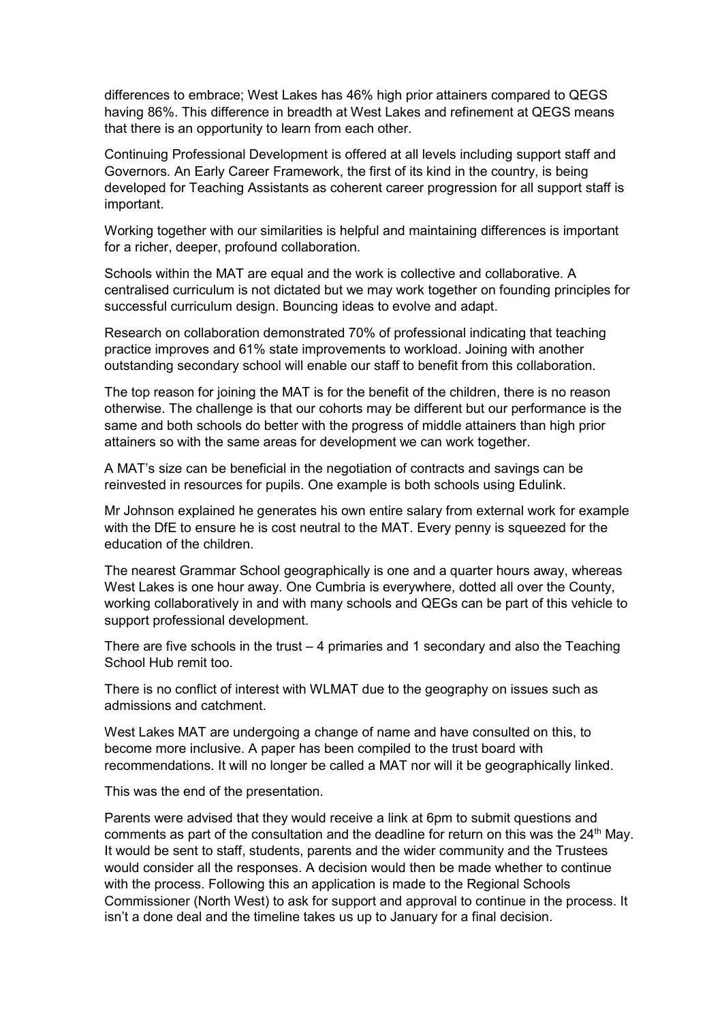differences to embrace; West Lakes has 46% high prior attainers compared to QEGS having 86%. This difference in breadth at West Lakes and refinement at QEGS means that there is an opportunity to learn from each other.

Continuing Professional Development is offered at all levels including support staff and Governors. An Early Career Framework, the first of its kind in the country, is being developed for Teaching Assistants as coherent career progression for all support staff is important.

Working together with our similarities is helpful and maintaining differences is important for a richer, deeper, profound collaboration.

Schools within the MAT are equal and the work is collective and collaborative. A centralised curriculum is not dictated but we may work together on founding principles for successful curriculum design. Bouncing ideas to evolve and adapt.

Research on collaboration demonstrated 70% of professional indicating that teaching practice improves and 61% state improvements to workload. Joining with another outstanding secondary school will enable our staff to benefit from this collaboration.

The top reason for joining the MAT is for the benefit of the children, there is no reason otherwise. The challenge is that our cohorts may be different but our performance is the same and both schools do better with the progress of middle attainers than high prior attainers so with the same areas for development we can work together.

A MAT's size can be beneficial in the negotiation of contracts and savings can be reinvested in resources for pupils. One example is both schools using Edulink.

Mr Johnson explained he generates his own entire salary from external work for example with the DfE to ensure he is cost neutral to the MAT. Every penny is squeezed for the education of the children.

The nearest Grammar School geographically is one and a quarter hours away, whereas West Lakes is one hour away. One Cumbria is everywhere, dotted all over the County, working collaboratively in and with many schools and QEGs can be part of this vehicle to support professional development.

There are five schools in the trust – 4 primaries and 1 secondary and also the Teaching School Hub remit too.

There is no conflict of interest with WLMAT due to the geography on issues such as admissions and catchment.

West Lakes MAT are undergoing a change of name and have consulted on this, to become more inclusive. A paper has been compiled to the trust board with recommendations. It will no longer be called a MAT nor will it be geographically linked.

This was the end of the presentation.

Parents were advised that they would receive a link at 6pm to submit questions and comments as part of the consultation and the deadline for return on this was the  $24<sup>th</sup>$  May. It would be sent to staff, students, parents and the wider community and the Trustees would consider all the responses. A decision would then be made whether to continue with the process. Following this an application is made to the Regional Schools Commissioner (North West) to ask for support and approval to continue in the process. It isn't a done deal and the timeline takes us up to January for a final decision.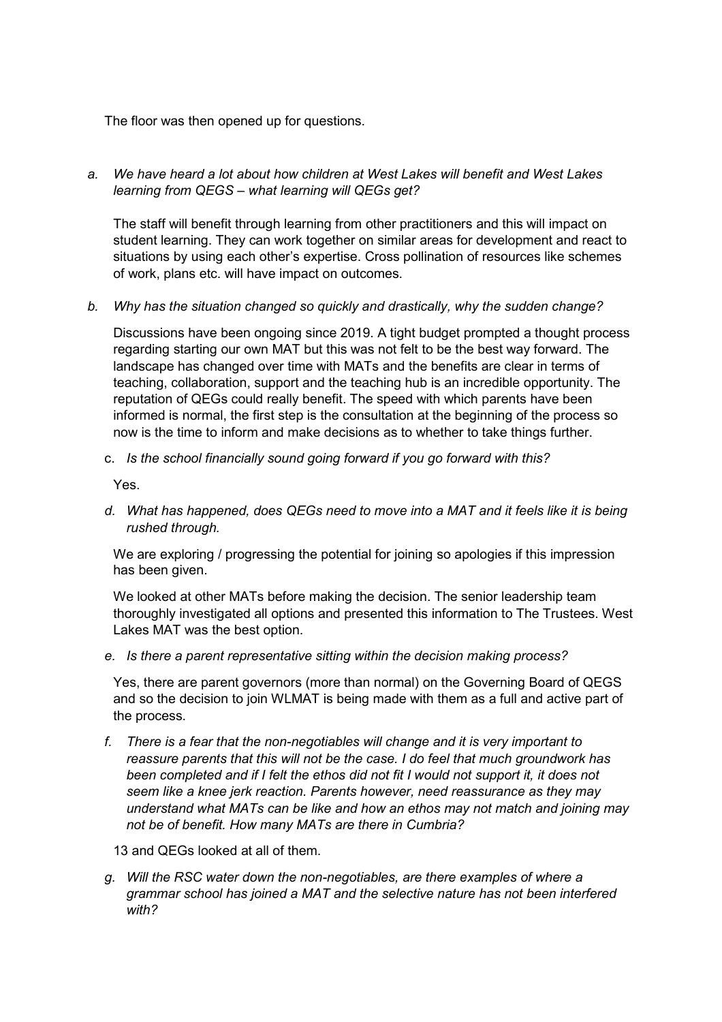The floor was then opened up for questions.

*a. We have heard a lot about how children at West Lakes will benefit and West Lakes learning from QEGS – what learning will QEGs get?* 

The staff will benefit through learning from other practitioners and this will impact on student learning. They can work together on similar areas for development and react to situations by using each other's expertise. Cross pollination of resources like schemes of work, plans etc. will have impact on outcomes.

*b. Why has the situation changed so quickly and drastically, why the sudden change?* 

Discussions have been ongoing since 2019. A tight budget prompted a thought process regarding starting our own MAT but this was not felt to be the best way forward. The landscape has changed over time with MATs and the benefits are clear in terms of teaching, collaboration, support and the teaching hub is an incredible opportunity. The reputation of QEGs could really benefit. The speed with which parents have been informed is normal, the first step is the consultation at the beginning of the process so now is the time to inform and make decisions as to whether to take things further.

c. *Is the school financially sound going forward if you go forward with this?*

Yes.

*d. What has happened, does QEGs need to move into a MAT and it feels like it is being rushed through.* 

We are exploring / progressing the potential for joining so apologies if this impression has been given.

We looked at other MATs before making the decision. The senior leadership team thoroughly investigated all options and presented this information to The Trustees. West Lakes MAT was the best option.

*e. Is there a parent representative sitting within the decision making process?* 

Yes, there are parent governors (more than normal) on the Governing Board of QEGS and so the decision to join WLMAT is being made with them as a full and active part of the process.

*f. There is a fear that the non-negotiables will change and it is very important to reassure parents that this will not be the case. I do feel that much groundwork has been completed and if I felt the ethos did not fit I would not support it, it does not seem like a knee jerk reaction. Parents however, need reassurance as they may understand what MATs can be like and how an ethos may not match and joining may not be of benefit. How many MATs are there in Cumbria?* 

13 and QEGs looked at all of them.

*g. Will the RSC water down the non-negotiables, are there examples of where a grammar school has joined a MAT and the selective nature has not been interfered with?*